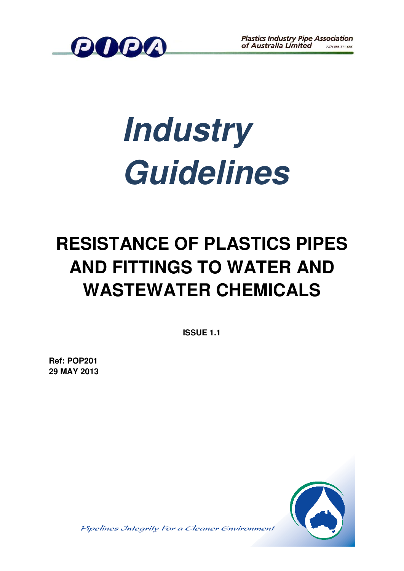

# *Industry Guidelines*

## **RESISTANCE OF PLASTICS PIPES AND FITTINGS TO WATER AND WASTEWATER CHEMICALS**

**ISSUE 1.1** 

**Ref: POP201 29 MAY 2013**



Pipelines Jntegrity For a Cleaner Environment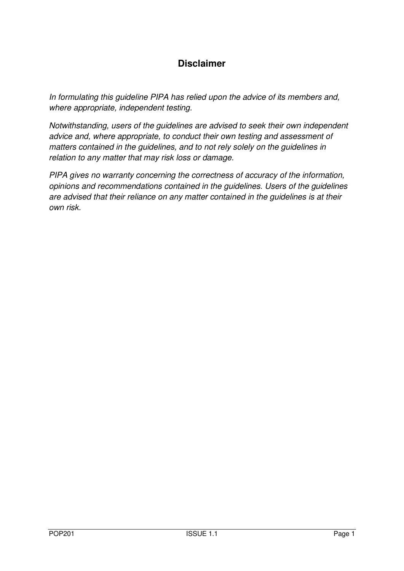#### **Disclaimer**

*In formulating this guideline PIPA has relied upon the advice of its members and, where appropriate, independent testing.* 

*Notwithstanding, users of the guidelines are advised to seek their own independent advice and, where appropriate, to conduct their own testing and assessment of matters contained in the guidelines, and to not rely solely on the guidelines in relation to any matter that may risk loss or damage.* 

*PIPA gives no warranty concerning the correctness of accuracy of the information, opinions and recommendations contained in the guidelines. Users of the guidelines are advised that their reliance on any matter contained in the guidelines is at their own risk.*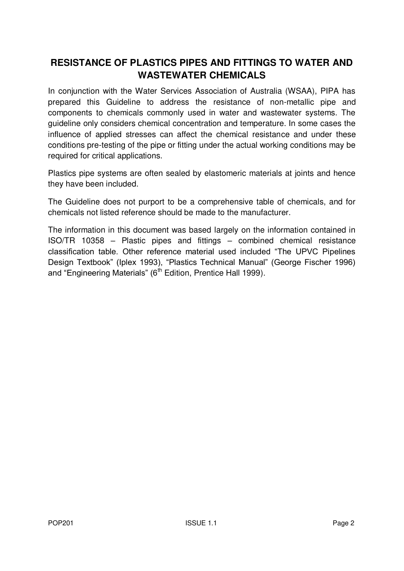#### **RESISTANCE OF PLASTICS PIPES AND FITTINGS TO WATER AND WASTEWATER CHEMICALS**

In conjunction with the Water Services Association of Australia (WSAA), PIPA has prepared this Guideline to address the resistance of non-metallic pipe and components to chemicals commonly used in water and wastewater systems. The guideline only considers chemical concentration and temperature. In some cases the influence of applied stresses can affect the chemical resistance and under these conditions pre-testing of the pipe or fitting under the actual working conditions may be required for critical applications.

Plastics pipe systems are often sealed by elastomeric materials at joints and hence they have been included.

The Guideline does not purport to be a comprehensive table of chemicals, and for chemicals not listed reference should be made to the manufacturer.

The information in this document was based largely on the information contained in ISO/TR 10358 – Plastic pipes and fittings – combined chemical resistance classification table. Other reference material used included "The UPVC Pipelines Design Textbook" (Iplex 1993), "Plastics Technical Manual" (George Fischer 1996) and "Engineering Materials" ( $6<sup>th</sup>$  Edition, Prentice Hall 1999).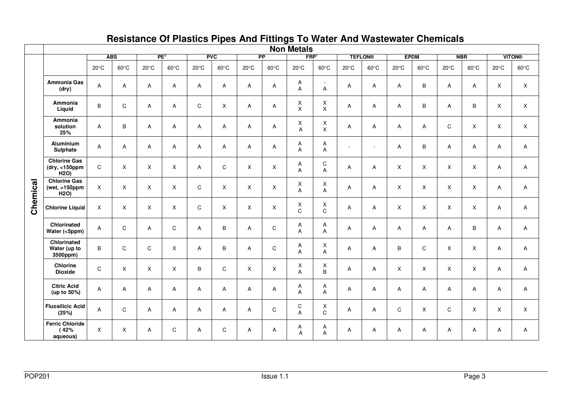|          |                                                              | <b>Non Metals</b> |                |                 |                |                |                |                 |                |                  |                                             |                |                |                |                |                |                |                |                |
|----------|--------------------------------------------------------------|-------------------|----------------|-----------------|----------------|----------------|----------------|-----------------|----------------|------------------|---------------------------------------------|----------------|----------------|----------------|----------------|----------------|----------------|----------------|----------------|
|          |                                                              | <b>ABS</b>        |                | PE <sup>2</sup> |                | <b>PVC</b>     |                | $\overline{PP}$ |                | FRP              |                                             | <b>TEFLON®</b> |                | <b>EPDM</b>    |                | <b>NBR</b>     |                | <b>VITON®</b>  |                |
|          |                                                              | $20^{\circ}$ C    | $60^{\circ}$ C | $20^{\circ}$ C  | $60^{\circ}$ C | $20^{\circ}$ C | $60^{\circ}$ C | $20^{\circ}$ C  | $60^{\circ}$ C | $20^{\circ}$ C   | $60^{\circ}$ C                              | $20^{\circ}$ C | $60^{\circ}$ C | $20^{\circ}$ C | $60^{\circ}$ C | $20^{\circ}$ C | $60^{\circ}$ C | $20^{\circ}$ C | $60^{\circ}$ C |
| Chemical | Ammonia Gas<br>(dry)                                         | Α                 | A              | Α               | Α              | Α              | A              | Α               | A              | A<br>A           | $\sim$<br>Α                                 | Α              | Α              | Α              | B              | Α              | Α              | X              | X              |
|          | Ammonia<br>Liquid                                            | B                 | $\mathbf C$    | Α               | A              | C              | X              | Α               | A              | Χ<br>X           | $\boldsymbol{\mathsf{X}}$<br>$\pmb{\times}$ | Α              | Α              | A              | B              | A              | B              | X              | X              |
|          | Ammonia<br>solution<br>25%                                   | A                 | B              | Α               | $\overline{A}$ | A              | A              | A               | A              | Χ<br>A           | $\boldsymbol{\mathsf{X}}$<br>$\sf X$        | Α              | A              | Α              | Α              | C              | $\mathsf{X}$   | X              | $\mathsf{X}$   |
|          | <b>Aluminium</b><br>Sulphate                                 | Α                 | Α              | Α               | Α              | A              | A              | Α               | A              | Α<br>A           | A<br>A                                      | $\sim$         | $\sim$         | Α              | В              | Α              | Α              | Α              | A              |
|          | <b>Chlorine Gas</b><br>dry, <150ppm<br>H2O                   | $\mathbf C$       | X              | X               | X              | Α              | $\mathsf C$    | X               | $\mathsf X$    | Α<br>A           | $\mathbf C$<br>$\overline{A}$               | Α              | Α              | X              | X              | X              | X              | Α              | Α              |
|          | <b>Chlorine Gas</b><br>(wet, $>150$ ppm<br>H <sub>2</sub> O) | $\times$          | X              | X               | X              | C              | X              | X               | X              | Χ<br>A           | $\mathsf X$<br>A                            | Α              | $\overline{A}$ | X              | X              | $\times$       | X              | A              | Α              |
|          | <b>Chlorine Liquid</b>                                       | $\mathsf X$       | $\mathsf X$    | Χ               | X              | $\mathbf C$    | X              | X               | X              | X<br>$\mathbf C$ | Χ<br>$\mathbf C$                            | Α              | A              | X              | X              | X              | X              | Α              | A              |
|          | Chlorinated<br>Water (<5ppm)                                 | A                 | C              | Α               | C              | A              | B              | Α               | $\mathsf C$    | Α<br>A           | A<br>A                                      | Α              | A              | Α              | Α              | A              | B              | A              | Α              |
|          | Chlorinated<br>Water (up to<br>3500ppm)                      | B                 | C              | C               | X              | A              | В              | Α               | C              | Α<br>A           | X<br>A                                      | Α              | Α              | В              | C              | X              | X              | A              | A              |
|          | <b>Chlorine</b><br><b>Dioxide</b>                            | $\mathbf C$       | $\pmb{\times}$ | $\pmb{\times}$  | X              | B              | C              | X               | $\mathsf X$    | Χ<br>A           | $\mathsf X$<br>B                            | Α              | Α              | X              | X              | X              | X              | Α              | Α              |
|          | <b>Citric Acid</b><br>(up to 50%)                            | Α                 | Α              | Α               | $\overline{A}$ | A              | A              | Α               | Α              | Α<br>A           | Α<br>A                                      | Α              | Α              | Α              | A              | A              | Α              | Α              | Α              |
|          | <b>Fluosilicic Acid</b><br>(25%)                             | A                 | $\mathbf C$    | Α               | $\overline{A}$ | Α              | A              | Α               | ${\bf C}$      | C<br>A           | Χ<br>C                                      | Α              | Α              | $\mathsf C$    | X              | $\mathsf C$    | X              | X              | X              |
|          | <b>Ferric Chloride</b><br>(42%<br>aqueous)                   | $\mathsf{X}$      | X              | A               | $\mathsf{C}$   | Α              | C              | Α               | Α              | Α<br>A           | Α<br>A                                      | Α              | A              | Α              | Α              | A              | Α              | A              | Α              |

### **Resistance Of Plastics Pipes And Fittings To Water And Wastewater Chemicals**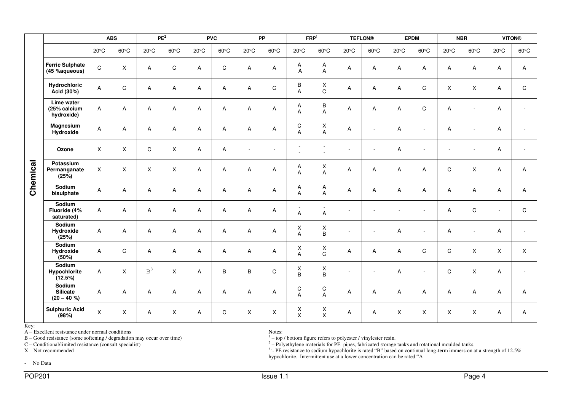|                     |                                                                                                                                                                                                                           | <b>ABS</b>     |                | PE <sup>2</sup> |                | <b>PVC</b>     |                | PP             |                          | FRP <sup>1</sup>                                                                                                                                                                                                                                                                                                                                                                   |                  | <b>TEFLON®</b>           |                          | <b>EPDM</b>    |                          | <b>NBR</b>     |                | <b>VITON®</b>            |                |
|---------------------|---------------------------------------------------------------------------------------------------------------------------------------------------------------------------------------------------------------------------|----------------|----------------|-----------------|----------------|----------------|----------------|----------------|--------------------------|------------------------------------------------------------------------------------------------------------------------------------------------------------------------------------------------------------------------------------------------------------------------------------------------------------------------------------------------------------------------------------|------------------|--------------------------|--------------------------|----------------|--------------------------|----------------|----------------|--------------------------|----------------|
|                     |                                                                                                                                                                                                                           | $20^{\circ}$ C | $60^{\circ}$ C | $20^{\circ}$ C  | $60^{\circ}$ C | $20^{\circ}$ C | $60^{\circ}$ C | $20^{\circ}$ C | $60^{\circ}$ C           | $20^{\circ}$ C                                                                                                                                                                                                                                                                                                                                                                     | $60^{\circ}$ C   | $20^{\circ}$ C           | $60^{\circ}$ C           | $20^{\circ}$ C | $60^{\circ}$ C           | $20^{\circ}$ C | $60^{\circ}$ C | $20^{\circ}$ C           | $60^{\circ}$ C |
| Chemical            | <b>Ferric Sulphate</b><br>(45 %aqueous)                                                                                                                                                                                   | $\mathbf C$    | X              | Α               | C              | A              | C              | A              | A                        | A<br>Α                                                                                                                                                                                                                                                                                                                                                                             | Α<br>A           | Α                        | Α                        | Α              | A                        | A              | Α              | Α                        | A              |
|                     | Hydrochloric<br>Acid (30%)                                                                                                                                                                                                | A              | $\mathbf C$    | A               | Α              | A              | A              | A              | C                        | В<br>A                                                                                                                                                                                                                                                                                                                                                                             | X<br>$\mathsf C$ | A                        | Α                        | Α              | C                        | X              | X              | A                        | C              |
|                     | Lime water<br>(25% calcium<br>hydroxide)                                                                                                                                                                                  | Α              | Α              | A               | Α              | A              | А              | A              | Α                        | Α<br>A                                                                                                                                                                                                                                                                                                                                                                             | B<br>A           | A                        | A                        | Α              | $\mathsf C$              | A              | $\sim$         | Α                        |                |
|                     | Magnesium<br>Hydroxide                                                                                                                                                                                                    | A              | A              | A               | A              | A              | Α              | A              | A                        | C<br>A                                                                                                                                                                                                                                                                                                                                                                             | Χ<br>A           | A                        | $\sim$                   | Α              | $\blacksquare$           | A              | $\sim$         | Α                        |                |
|                     | Ozone                                                                                                                                                                                                                     | $\mathsf X$    | Χ              | C               | $\pmb{\times}$ | A              | Α              | ÷,             | $\overline{\phantom{a}}$ | $\overline{\phantom{a}}$<br>$\overline{a}$                                                                                                                                                                                                                                                                                                                                         | $\sim$           | $\overline{\phantom{a}}$ | $\blacksquare$           | Α              | $\overline{\phantom{a}}$ | $\sim$         | $\blacksquare$ | Α                        |                |
|                     | Potassium<br>Permanganate<br>(25%)                                                                                                                                                                                        | X              | X              | X               | X              | A              | A              | A              | A                        | Α<br>Α                                                                                                                                                                                                                                                                                                                                                                             | X<br>Α           | A                        | A                        | Α              | Α                        | C              | X              | A                        | A              |
|                     | Sodium<br>bisulphate                                                                                                                                                                                                      | A              | A              | A               | Α              | Α              | Α              | Α              | A                        | Α<br>Α                                                                                                                                                                                                                                                                                                                                                                             | Α<br>A           | Α                        | Α                        | A              | Α                        | Α              | Α              | A                        | Α              |
|                     | Sodium<br>Fluoride (4%<br>saturated)                                                                                                                                                                                      | $\mathsf{A}$   | A              | Α               | Α              | Α              | Α              | Α              | А                        | ä,<br>A                                                                                                                                                                                                                                                                                                                                                                            | A                | ÷,                       | $\overline{\phantom{a}}$ | $\sim$         | $\overline{\phantom{a}}$ | Α              | C              | $\overline{\phantom{a}}$ | C              |
|                     | Sodium<br>Hydroxide<br>(25%)                                                                                                                                                                                              | A              | Α              | A               | Α              | Α              | A              | Α              | A                        | X<br>A                                                                                                                                                                                                                                                                                                                                                                             | X<br>$\sf B$     | ÷.                       | $\overline{\phantom{a}}$ | Α              | $\overline{\phantom{a}}$ | A              | $\sim$         | A                        |                |
|                     | Sodium<br>Hydroxide<br>(50%)                                                                                                                                                                                              | $\mathsf{A}$   | C              | Α               | Α              | Α              | Α              | Α              | A                        | X<br>A                                                                                                                                                                                                                                                                                                                                                                             | X<br>$\mathsf C$ | Α                        | A                        | Α              | C                        | C              | $\sf X$        | $\mathsf{X}$             | X              |
|                     | Sodium<br>Hypochlorite<br>(12.5%)                                                                                                                                                                                         | A              | X              | $\mbox{B}^3$    | Χ              | A              | В              | B              | $\mathsf C$              | X<br>B                                                                                                                                                                                                                                                                                                                                                                             | Χ<br>$\sf B$     | ÷,                       | $\sim$                   | Α              | $\overline{a}$           | C              | X              | A                        |                |
|                     | Sodium<br><b>Silicate</b><br>$(20 - 40 %$                                                                                                                                                                                 | A              | $\mathsf A$    | Α               | A              | A              | A              | A              | A                        | ${\rm C}$<br>Α                                                                                                                                                                                                                                                                                                                                                                     | C<br>A           | A                        | A                        | Α              | Α                        | A              | Α              | A                        | А              |
|                     | <b>Sulphuric Acid</b><br>(98%)                                                                                                                                                                                            | $\mathsf X$    | X              | A               | X              | A              | C              | X              | $\mathsf X$              | X<br>X                                                                                                                                                                                                                                                                                                                                                                             | X<br>X           | Α                        | A                        | X              | X                        | X              | X              | A                        | A              |
| Key:                | A - Excellent resistance under normal conditions<br>B - Good resistance (some softening / degradation may occur over time)<br>$C$ – Conditional/limited resistance (consult specialist)<br>X-Not recommended<br>- No Data |                |                |                 |                |                |                |                | Notes:                   | $1 -$ top / bottom figure refers to polyester / vinylester resin.<br>$2$ – Polyethylene materials for PE pipes, fabricated storage tanks and rotational moulded tanks.<br><sup>3-</sup> PE resistance to sodium hypochlorite is rated "B" based on continual long-term immersion at a strength of 12.5%<br>hypochlorite. Intermittent use at a lower concentration can be rated "A |                  |                          |                          |                |                          |                |                |                          |                |
| POP201<br>Issue 1.1 |                                                                                                                                                                                                                           |                |                |                 |                |                |                |                |                          |                                                                                                                                                                                                                                                                                                                                                                                    |                  |                          | Page 4                   |                |                          |                |                |                          |                |

Key: